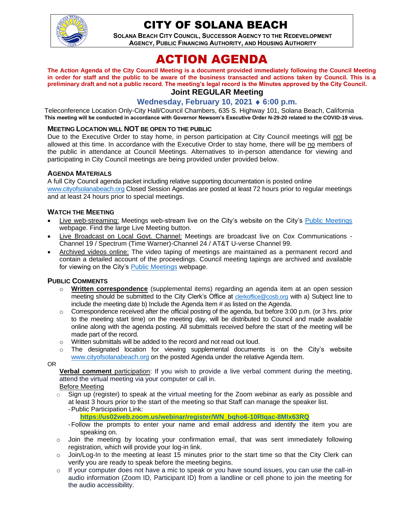

## CITY OF SOLANA BEACH

**SOLANA BEACH CITY COUNCIL, SUCCESSOR AGENCY TO THE REDEVELOPMENT AGENCY, PUBLIC FINANCING AUTHORITY, AND HOUSING AUTHORITY** 

# ACTION AGENDA

**The Action Agenda of the City Council Meeting is a document provided immediately following the Council Meeting in order for staff and the public to be aware of the business transacted and actions taken by Council. This is a preliminary draft and not a public record. The meeting's legal record is the Minutes approved by the City Council. Joint REGULAR Meeting**

## **Wednesday, February 10, 2021 6:00 p.m.**

Teleconference Location Only-City Hall/Council Chambers, 635 S. Highway 101, Solana Beach, California **This meeting will be conducted in accordance with Governor Newsom's Executive Order N-29-20 related to the COVID-19 virus.**

#### **MEETING LOCATION WILL NOT BE OPEN TO THE PUBLIC**

Due to the Executive Order to stay home, in person participation at City Council meetings will not be allowed at this time. In accordance with the Executive Order to stay home, there will be no members of the public in attendance at Council Meetings. Alternatives to in-person attendance for viewing and participating in City Council meetings are being provided under provided below.

#### **AGENDA MATERIALS**

A full City Council agenda packet including relative supporting documentation is posted online [www.cityofsolanabeach.org](http://www.cityofsolanabeach.org/) Closed Session Agendas are posted at least 72 hours prior to regular meetings and at least 24 hours prior to special meetings.

#### **WATCH THE MEETING**

- Live web-streaming: Meetings web-stream live on the City's website on the City's [Public Meetings](https://urldefense.proofpoint.com/v2/url?u=https-3A__www.ci.solana-2Dbeach.ca.us_index.asp-3FSEC-3DF0F1200D-2D21C6-2D4A88-2D8AE1-2D0BC07C1A81A7-26Type-3DB-5FBASIC&d=DwMFAg&c=euGZstcaTDllvimEN8b7jXrwqOf-v5A_CdpgnVfiiMM&r=1XAsCUuqwK_tji2t0s1uIQ&m=wny2RVfZJ2tN24LkqZmkUWNpwL_peNtTZUBlTBZiMM4&s=WwpcEQpHHkFen6nS6q2waMuQ_VMZ-i1YZ60lD-dYRRE&e=) webpage. Find the large Live Meeting button.
- Live Broadcast on Local Govt. Channel: Meetings are broadcast live on Cox Communications Channel 19 / Spectrum (Time Warner)-Channel 24 / AT&T U-verse Channel 99.
- Archived videos online: The video taping of meetings are maintained as a permanent record and contain a detailed account of the proceedings. Council meeting tapings are archived and available for viewing on the City's [Public Meetings](https://urldefense.proofpoint.com/v2/url?u=https-3A__www.ci.solana-2Dbeach.ca.us_index.asp-3FSEC-3DF0F1200D-2D21C6-2D4A88-2D8AE1-2D0BC07C1A81A7-26Type-3DB-5FBASIC&d=DwMFAg&c=euGZstcaTDllvimEN8b7jXrwqOf-v5A_CdpgnVfiiMM&r=1XAsCUuqwK_tji2t0s1uIQ&m=wny2RVfZJ2tN24LkqZmkUWNpwL_peNtTZUBlTBZiMM4&s=WwpcEQpHHkFen6nS6q2waMuQ_VMZ-i1YZ60lD-dYRRE&e=) webpage.

#### **PUBLIC COMMENTS**

- o **Written correspondence** (supplemental items) regarding an agenda item at an open session meeting should be submitted to the City Clerk's Office at [clerkoffice@cosb.org](mailto:clerkoffice@cosb.org) with a) Subject line to include the meeting date b) Include the Agenda Item # as listed on the Agenda.
- $\circ$  Correspondence received after the official posting of the agenda, but before 3:00 p.m. (or 3 hrs. prior to the meeting start time) on the meeting day, will be distributed to Council and made available online along with the agenda posting. All submittals received before the start of the meeting will be made part of the record.
- o Written submittals will be added to the record and not read out loud.
- $\circ$  The designated location for viewing supplemental documents is on the City's website [www.cityofsolanabeach.org](http://www.cityofsolanabeach.org/) on the posted Agenda under the relative Agenda Item.

OR

**Verbal comment** participation: If you wish to provide a live verbal comment during the meeting, attend the virtual meeting via your computer or call in.

Before Meeting

- $\circ$  Sign up (register) to speak at the virtual meeting for the Zoom webinar as early as possible and at least 3 hours prior to the start of the meeting so that Staff can manage the speaker list. -Public Participation Link:
	- **[https://us02web.zoom.us/webinar/register/WN\\_bqho6-10RIqac-8Mlx63RQ](https://us02web.zoom.us/webinar/register/WN_bqho6-10RIqac-8Mlx63RQ)**
	- -Follow the prompts to enter your name and email address and identify the item you are speaking on.
- $\circ$  Join the meeting by locating your confirmation email, that was sent immediately following registration, which will provide your log-in link.
- $\circ$  Join/Log-In to the meeting at least 15 minutes prior to the start time so that the City Clerk can verify you are ready to speak before the meeting begins.
- $\circ$  If your computer does not have a mic to speak or you have sound issues, you can use the call-in audio information (Zoom ID, Participant ID) from a landline or cell phone to join the meeting for the audio accessibility.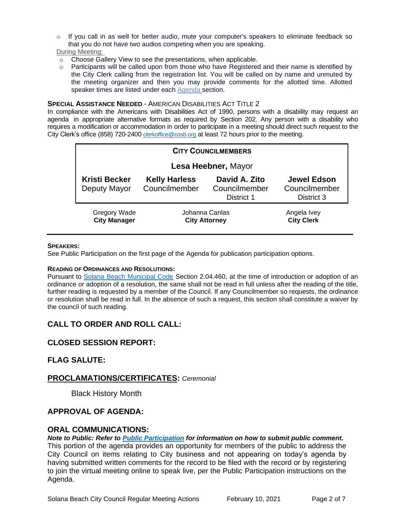o If you call in as well for better audio, mute your computer's speakers to eliminate feedback so that you do not have two audios competing when you are speaking.

During Meeting:

- o Choose Gallery View to see the presentations, when applicable.
- $\circ$  Participants will be called upon from those who have Registered and their name is identified by the City Clerk calling from the registration list. You will be called on by name and unmuted by the meeting organizer and then you may provide comments for the allotted time. Allotted speaker times are listed under each [Agenda s](https://urldefense.proofpoint.com/v2/url?u=https-3A__www.ci.solana-2Dbeach.ca.us_index.asp-3FSEC-3DF0F1200D-2D21C6-2D4A88-2D8AE1-2D0BC07C1A81A7-26Type-3DB-5FBASIC&d=DwMFaQ&c=euGZstcaTDllvimEN8b7jXrwqOf-v5A_CdpgnVfiiMM&r=1XAsCUuqwK_tji2t0s1uIQ&m=C7WzXfOw2_nkEFMJClT55zZsF4tmIf_7KTn0o1WpYqI&s=3DcsWExM2_nx_xpvFtXslUjphiXd0MDCCF18y_Qy5yU&e=)ection.

#### **SPECIAL ASSISTANCE NEEDED** - AMERICAN DISABILITIES ACT TITLE 2

In compliance with the Americans with Disabilities Act of 1990, persons with a disability may request an agenda in appropriate alternative formats as required by Section 202. Any person with a disability who requires a modification or accommodation in order to participate in a meeting should direct such request to the City Clerk's office (858) 720-2400 [clerkoffice@cosb.org](mailto:EMAILGRP-CityClerksOfc@cosb.org) at least 72 hours prior to the meeting.

| <b>CITY COUNCILMEMBERS</b>                 |                                        |                                              |                                                   |
|--------------------------------------------|----------------------------------------|----------------------------------------------|---------------------------------------------------|
| Lesa Heebner, Mayor                        |                                        |                                              |                                                   |
| <b>Kristi Becker</b><br>Deputy Mayor       | <b>Kelly Harless</b><br>Councilmember  | David A. Zito<br>Councilmember<br>District 1 | <b>Jewel Edson</b><br>Councilmember<br>District 3 |
| <b>Gregory Wade</b><br><b>City Manager</b> | Johanna Canlas<br><b>City Attorney</b> |                                              | Angela Ivey<br><b>City Clerk</b>                  |

#### **SPEAKERS:**

See Public Participation on the first page of the Agenda for publication participation options.

#### **READING OF ORDINANCES AND RESOLUTIONS:**

Pursuant to [Solana Beach Municipal Code](https://www.codepublishing.com/CA/SolanaBeach/) Section 2.04.460, at the time of introduction or adoption of an ordinance or adoption of a resolution, the same shall not be read in full unless after the reading of the title, further reading is requested by a member of the Council. If any Councilmember so requests, the ordinance or resolution shall be read in full. In the absence of such a request, this section shall constitute a waiver by the council of such reading.

## **CALL TO ORDER AND ROLL CALL:**

## **CLOSED SESSION REPORT:**

## **FLAG SALUTE:**

#### **PROCLAMATIONS/CERTIFICATES:** *Ceremonial*

Black History Month

## **APPROVAL OF AGENDA:**

#### **ORAL COMMUNICATIONS:**

*Note to Public: Refer to Public Participation for information on how to submit public comment.* 

This portion of the agenda provides an opportunity for members of the public to address the City Council on items relating to City business and not appearing on today's agenda by having submitted written comments for the record to be filed with the record or by registering to join the virtual meeting online to speak live, per the Public Participation instructions on the Agenda.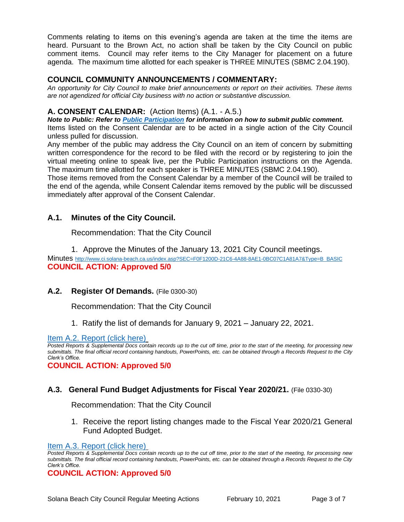Comments relating to items on this evening's agenda are taken at the time the items are heard. Pursuant to the Brown Act, no action shall be taken by the City Council on public comment items. Council may refer items to the City Manager for placement on a future agenda. The maximum time allotted for each speaker is THREE MINUTES (SBMC 2.04.190).

#### **COUNCIL COMMUNITY ANNOUNCEMENTS / COMMENTARY:**

*An opportunity for City Council to make brief announcements or report on their activities. These items are not agendized for official City business with no action or substantive discussion.* 

## **A. CONSENT CALENDAR:** (Action Items) (A.1. - A.5.)

*Note to Public: Refer to Public Participation for information on how to submit public comment.*  Items listed on the Consent Calendar are to be acted in a single action of the City Council unless pulled for discussion.

Any member of the public may address the City Council on an item of concern by submitting written correspondence for the record to be filed with the record or by registering to join the virtual meeting online to speak live, per the Public Participation instructions on the Agenda. The maximum time allotted for each speaker is THREE MINUTES (SBMC 2.04.190).

Those items removed from the Consent Calendar by a member of the Council will be trailed to the end of the agenda, while Consent Calendar items removed by the public will be discussed immediately after approval of the Consent Calendar.

## **A.1. Minutes of the City Council.**

Recommendation: That the City Council

1. Approve the Minutes of the January 13, 2021 City Council meetings.

Minutes [http://www.ci.solana-beach.ca.us/index.asp?SEC=F0F1200D-21C6-4A88-8AE1-0BC07C1A81A7&Type=B\\_BASIC](http://www.ci.solana-beach.ca.us/index.asp?SEC=F0F1200D-21C6-4A88-8AE1-0BC07C1A81A7&Type=B_BASIC) **COUNCIL ACTION: Approved 5/0**

## **A.2. Register Of Demands.** (File 0300-30)

Recommendation: That the City Council

1. Ratify the list of demands for January 9, 2021 – January 22, 2021.

[Item A.2. Report \(click here\)](https://solanabeach.govoffice3.com/vertical/Sites/%7B840804C2-F869-4904-9AE3-720581350CE7%7D/uploads/Item_A.2._Report_(click_here)_2-10-21_-_O.pdf)

*Posted Reports & Supplemental Docs contain records up to the cut off time, prior to the start of the meeting, for processing new submittals. The final official record containing handouts, PowerPoints, etc. can be obtained through a Records Request to the City Clerk's Office.*

**COUNCIL ACTION: Approved 5/0**

## **A.3. General Fund Budget Adjustments for Fiscal Year 2020/21.** (File 0330-30)

Recommendation: That the City Council

1. Receive the report listing changes made to the Fiscal Year 2020/21 General Fund Adopted Budget.

#### [Item A.3. Report \(click here\)](https://solanabeach.govoffice3.com/vertical/Sites/%7B840804C2-F869-4904-9AE3-720581350CE7%7D/uploads/Item_A.3._Report_(click_here)_2-10-21_-_O.pdf)

*Posted Reports & Supplemental Docs contain records up to the cut off time, prior to the start of the meeting, for processing new submittals. The final official record containing handouts, PowerPoints, etc. can be obtained through a Records Request to the City Clerk's Office.*

**COUNCIL ACTION: Approved 5/0**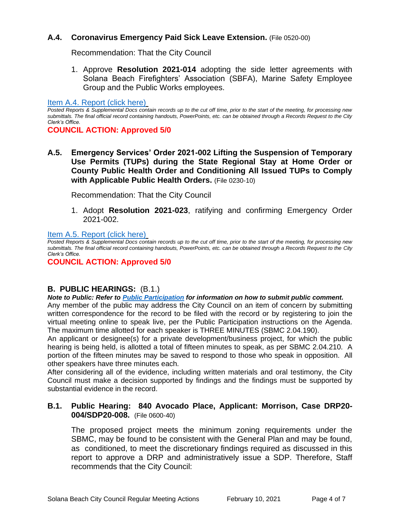## **A.4. Coronavirus Emergency Paid Sick Leave Extension.** (File 0520-00)

Recommendation: That the City Council

1. Approve **Resolution 2021-014** adopting the side letter agreements with Solana Beach Firefighters' Association (SBFA), Marine Safety Employee Group and the Public Works employees.

[Item A.4. Report \(click here\)](https://solanabeach.govoffice3.com/vertical/Sites/%7B840804C2-F869-4904-9AE3-720581350CE7%7D/uploads/Item_A.4._Report_(click_here)_2-10-21_-_O.pdf)

**COUNCIL ACTION: Approved 5/0**

**A.5. Emergency Services' Order 2021-002 Lifting the Suspension of Temporary Use Permits (TUPs) during the State Regional Stay at Home Order or County Public Health Order and Conditioning All Issued TUPs to Comply with Applicable Public Health Orders.** (File 0230-10)

Recommendation: That the City Council

1. Adopt **Resolution 2021-023**, ratifying and confirming Emergency Order 2021-002.

[Item A.5. Report \(click here\)](https://solanabeach.govoffice3.com/vertical/Sites/%7B840804C2-F869-4904-9AE3-720581350CE7%7D/uploads/Item_A.5._Report_(click_here)_02-10-21_-_O.pdf)

*Posted Reports & Supplemental Docs contain records up to the cut off time, prior to the start of the meeting, for processing new submittals. The final official record containing handouts, PowerPoints, etc. can be obtained through a Records Request to the City Clerk's Office.*

**COUNCIL ACTION: Approved 5/0**

## **B. PUBLIC HEARINGS:** (B.1.)

*Note to Public: Refer to Public Participation for information on how to submit public comment.*  Any member of the public may address the City Council on an item of concern by submitting written correspondence for the record to be filed with the record or by registering to join the virtual meeting online to speak live, per the Public Participation instructions on the Agenda.

The maximum time allotted for each speaker is THREE MINUTES (SBMC 2.04.190). An applicant or designee(s) for a private development/business project, for which the public

hearing is being held, is allotted a total of fifteen minutes to speak, as per SBMC 2.04.210. A portion of the fifteen minutes may be saved to respond to those who speak in opposition. All other speakers have three minutes each.

After considering all of the evidence, including written materials and oral testimony, the City Council must make a decision supported by findings and the findings must be supported by substantial evidence in the record.

#### **B.1. Public Hearing: 840 Avocado Place, Applicant: Morrison, Case DRP20- 004/SDP20-008.** (File 0600-40)

The proposed project meets the minimum zoning requirements under the SBMC, may be found to be consistent with the General Plan and may be found, as conditioned, to meet the discretionary findings required as discussed in this report to approve a DRP and administratively issue a SDP. Therefore, Staff recommends that the City Council:

*Posted Reports & Supplemental Docs contain records up to the cut off time, prior to the start of the meeting, for processing new submittals. The final official record containing handouts, PowerPoints, etc. can be obtained through a Records Request to the City Clerk's Office.*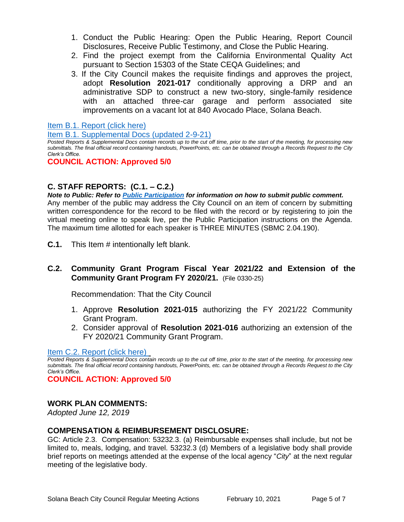- 1. Conduct the Public Hearing: Open the Public Hearing, Report Council Disclosures, Receive Public Testimony, and Close the Public Hearing.
- 2. Find the project exempt from the California Environmental Quality Act pursuant to Section 15303 of the State CEQA Guidelines; and
- 3. If the City Council makes the requisite findings and approves the project, adopt **Resolution 2021-017** conditionally approving a DRP and an administrative SDP to construct a new two-story, single-family residence with an attached three-car garage and perform associated site improvements on a vacant lot at 840 Avocado Place, Solana Beach.

[Item B.1. Report \(click here\)](https://solanabeach.govoffice3.com/vertical/Sites/%7B840804C2-F869-4904-9AE3-720581350CE7%7D/uploads/Item_B.1._Report_(click_here)_2-10-21._-_O.pdf)

[Item B.1. Supplemental Docs \(updated 2-9-21\)](https://solanabeach.govoffice3.com/vertical/Sites/%7B840804C2-F869-4904-9AE3-720581350CE7%7D/uploads/Item_B.1._Supplemental_Docs_(upd._2-8-21)_-_O.pdf)

*Posted Reports & Supplemental Docs contain records up to the cut off time, prior to the start of the meeting, for processing new submittals. The final official record containing handouts, PowerPoints, etc. can be obtained through a Records Request to the City Clerk's Office.*

## **COUNCIL ACTION: Approved 5/0**

## **C. STAFF REPORTS: (C.1. – C.2.)**

*Note to Public: Refer to Public Participation for information on how to submit public comment.*  Any member of the public may address the City Council on an item of concern by submitting written correspondence for the record to be filed with the record or by registering to join the virtual meeting online to speak live, per the Public Participation instructions on the Agenda. The maximum time allotted for each speaker is THREE MINUTES (SBMC 2.04.190).

**C.1.** This Item # intentionally left blank.

## **C.2. Community Grant Program Fiscal Year 2021/22 and Extension of the Community Grant Program FY 2020/21.** (File 0330-25)

Recommendation: That the City Council

- 1. Approve **Resolution 2021-015** authorizing the FY 2021/22 Community Grant Program.
- 2. Consider approval of **Resolution 2021-016** authorizing an extension of the FY 2020/21 Community Grant Program.

#### Item [C.2. Report \(click here\)](https://solanabeach.govoffice3.com/vertical/Sites/%7B840804C2-F869-4904-9AE3-720581350CE7%7D/uploads/Item_C.2._Report_(click_here)_2-10-21_-_O.pdf)

*Posted Reports & Supplemental Docs contain records up to the cut off time, prior to the start of the meeting, for processing new submittals. The final official record containing handouts, PowerPoints, etc. can be obtained through a Records Request to the City Clerk's Office.*

**COUNCIL ACTION: Approved 5/0**

## **WORK PLAN COMMENTS:**

*Adopted June 12, 2019*

#### **COMPENSATION & REIMBURSEMENT DISCLOSURE:**

GC: Article 2.3. Compensation: 53232.3. (a) Reimbursable expenses shall include, but not be limited to, meals, lodging, and travel. 53232.3 (d) Members of a legislative body shall provide brief reports on meetings attended at the expense of the local agency "*City*" at the next regular meeting of the legislative body.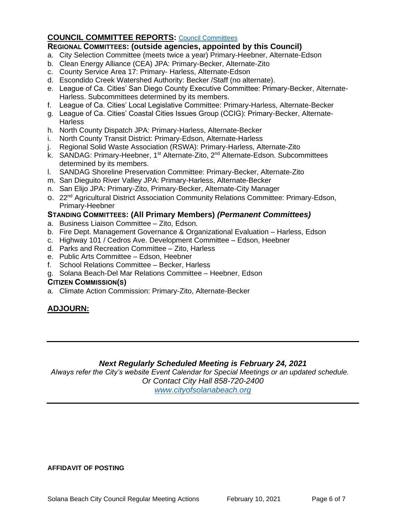## **COUNCIL COMMITTEE REPORTS:** [Council Committees](https://www.ci.solana-beach.ca.us/index.asp?SEC=584E1192-3850-46EA-B977-088AC3E81E0D&Type=B_BASIC)

## **REGIONAL COMMITTEES: (outside agencies, appointed by this Council)**

- a. City Selection Committee (meets twice a year) Primary-Heebner, Alternate-Edson
- b. Clean Energy Alliance (CEA) JPA: Primary-Becker, Alternate-Zito
- c. County Service Area 17: Primary- Harless, Alternate-Edson
- d. Escondido Creek Watershed Authority: Becker /Staff (no alternate).
- e. League of Ca. Cities' San Diego County Executive Committee: Primary-Becker, Alternate-Harless. Subcommittees determined by its members.
- f. League of Ca. Cities' Local Legislative Committee: Primary-Harless, Alternate-Becker
- g. League of Ca. Cities' Coastal Cities Issues Group (CCIG): Primary-Becker, Alternate-**Harless**
- h. North County Dispatch JPA: Primary-Harless, Alternate-Becker
- i. North County Transit District: Primary-Edson, Alternate-Harless
- j. Regional Solid Waste Association (RSWA): Primary-Harless, Alternate-Zito
- k. SANDAG: Primary-Heebner, 1<sup>st</sup> Alternate-Zito, 2<sup>nd</sup> Alternate-Edson. Subcommittees determined by its members.
- l. SANDAG Shoreline Preservation Committee: Primary-Becker, Alternate-Zito
- m. San Dieguito River Valley JPA: Primary-Harless, Alternate-Becker
- n. San Elijo JPA: Primary-Zito, Primary-Becker, Alternate-City Manager
- o. 22<sup>nd</sup> Agricultural District Association Community Relations Committee: Primary-Edson, Primary-Heebner

#### **STANDING COMMITTEES: (All Primary Members)** *(Permanent Committees)*

- a. Business Liaison Committee Zito, Edson.
- b. Fire Dept. Management Governance & Organizational Evaluation Harless, Edson
- c. Highway 101 / Cedros Ave. Development Committee Edson, Heebner
- d. Parks and Recreation Committee Zito, Harless
- e. Public Arts Committee Edson, Heebner
- f. School Relations Committee Becker, Harless
- g. Solana Beach-Del Mar Relations Committee Heebner, Edson

#### **CITIZEN COMMISSION(S)**

a. Climate Action Commission: Primary-Zito, Alternate-Becker

## **ADJOURN:**

#### *Next Regularly Scheduled Meeting is February 24, 2021*

*Always refer the City's website Event Calendar for Special Meetings or an updated schedule. Or Contact City Hall 858-720-2400*

*[www.cityofsolanabeach.org](http://www.cityofsolanabeach.org/)* 

#### **AFFIDAVIT OF POSTING**